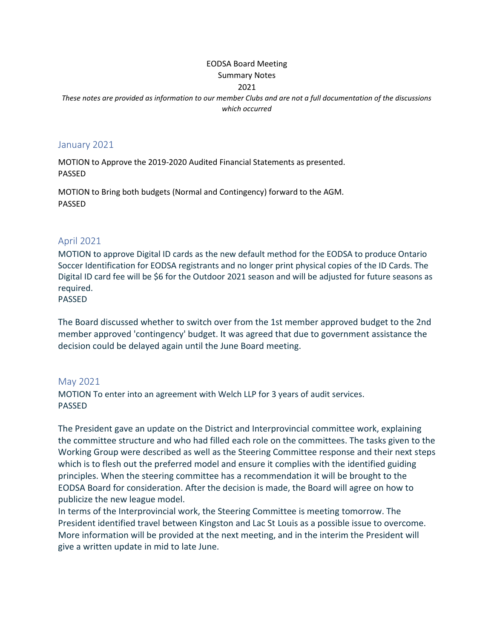### EODSA Board Meeting Summary Notes

#### 2021

*These notes are provided as information to our member Clubs and are not a full documentation of the discussions which occurred*

#### January 2021

MOTION to Approve the 2019-2020 Audited Financial Statements as presented. PASSED

MOTION to Bring both budgets (Normal and Contingency) forward to the AGM. PASSED

### April 2021

MOTION to approve Digital ID cards as the new default method for the EODSA to produce Ontario Soccer Identification for EODSA registrants and no longer print physical copies of the ID Cards. The Digital ID card fee will be \$6 for the Outdoor 2021 season and will be adjusted for future seasons as required.

### PASSED

The Board discussed whether to switch over from the 1st member approved budget to the 2nd member approved 'contingency' budget. It was agreed that due to government assistance the decision could be delayed again until the June Board meeting.

### May 2021

MOTION To enter into an agreement with Welch LLP for 3 years of audit services. PASSED

The President gave an update on the District and Interprovincial committee work, explaining the committee structure and who had filled each role on the committees. The tasks given to the Working Group were described as well as the Steering Committee response and their next steps which is to flesh out the preferred model and ensure it complies with the identified guiding principles. When the steering committee has a recommendation it will be brought to the EODSA Board for consideration. After the decision is made, the Board will agree on how to publicize the new league model.

In terms of the Interprovincial work, the Steering Committee is meeting tomorrow. The President identified travel between Kingston and Lac St Louis as a possible issue to overcome. More information will be provided at the next meeting, and in the interim the President will give a written update in mid to late June.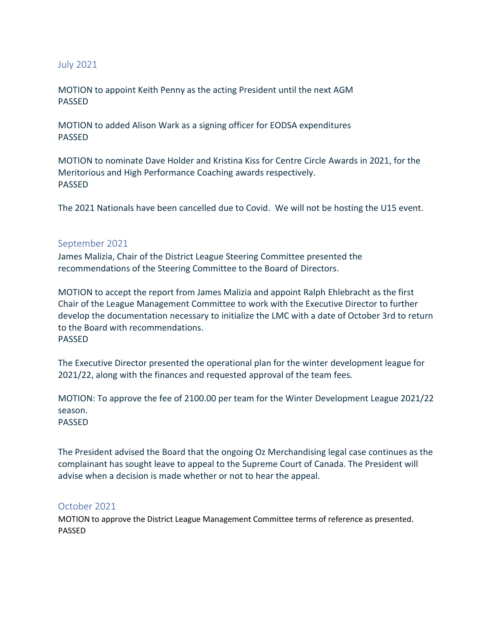## July 2021

MOTION to appoint Keith Penny as the acting President until the next AGM PASSED

MOTION to added Alison Wark as a signing officer for EODSA expenditures PASSED

MOTION to nominate Dave Holder and Kristina Kiss for Centre Circle Awards in 2021, for the Meritorious and High Performance Coaching awards respectively. PASSED

The 2021 Nationals have been cancelled due to Covid. We will not be hosting the U15 event.

### September 2021

James Malizia, Chair of the District League Steering Committee presented the recommendations of the Steering Committee to the Board of Directors.

MOTION to accept the report from James Malizia and appoint Ralph Ehlebracht as the first Chair of the League Management Committee to work with the Executive Director to further develop the documentation necessary to initialize the LMC with a date of October 3rd to return to the Board with recommendations. PASSED

The Executive Director presented the operational plan for the winter development league for 2021/22, along with the finances and requested approval of the team fees.

MOTION: To approve the fee of 2100.00 per team for the Winter Development League 2021/22 season. PASSED

The President advised the Board that the ongoing Oz Merchandising legal case continues as the complainant has sought leave to appeal to the Supreme Court of Canada. The President will advise when a decision is made whether or not to hear the appeal.

## October 2021

MOTION to approve the District League Management Committee terms of reference as presented. PASSED